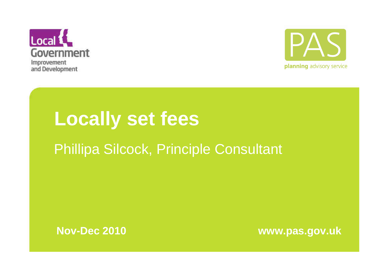



# **Locally set fees**

### Phillipa Silcock, Principle Consultant



**Nov-Dec 2010 www.pas.gov.uk**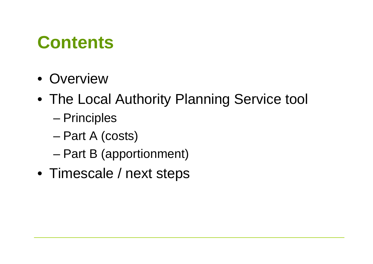### **Contents**

- Overview
- The Local Authority Planning Service tool
	- –**Principles**
	- –Part A (costs)
	- –Part B (apportionment)
- Timescale / next steps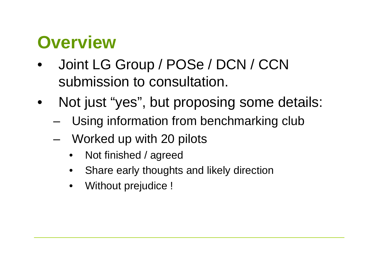### **Overview**

- Joint LG Group / POSe / DCN / CCN •submission to consultation.
- • Not just "yes", but proposing some details:
	- –Using information from benchmarking club
	- – Worked up with 20 pilots
		- •Not finished / agreed
		- •Share early thoughts and likely direction
		- $\bullet$ Without prejudice !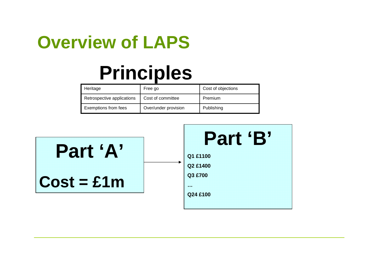### **Overview of LAPS**

# **Principles**

| Heritage                   | Free go              | Cost of objections |
|----------------------------|----------------------|--------------------|
| Retrospective applications | Cost of committee    | Premium            |
| Exemptions from fees       | Over/under provision | Publishing         |

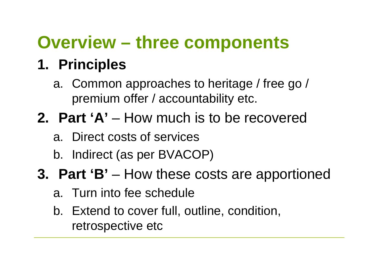### **Overview – three components**

### **1. Principles**

- a. Common approaches to heritage / free go / premium offer / accountability etc.
- **2. Part 'A'** How much is to be recovered
	- a. Direct costs of services
	- b. Indirect (as per BVACOP)
- **3. Part 'B'** How these costs are apportioned
	- a. Turn into fee schedule
	- b. Extend to cover full, outline, condition, retrospective etc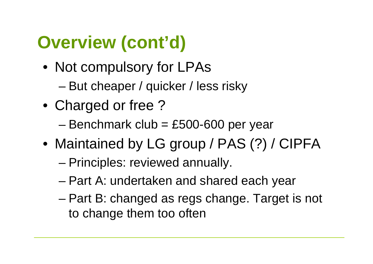# **Overview (cont'd)**

- Not compulsory for LPAs
	- –But cheaper / quicker / less risky
- Charged or free ?
	- –Benchmark club = £500-600 per year
- Maintained by LG group / PAS (?) / CIPFA
	- –Principles: reviewed annually.
	- –Part A: undertaken and shared each year
	- – Part B: changed as regs change. Target is not to change them too often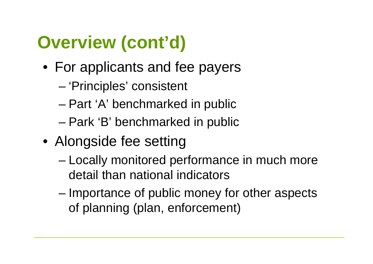# **Overview (cont'd)**

- For applicants and fee payers
	- –'Principles' consistent
	- –Part 'A' benchmarked in public
	- –Park 'B' benchmarked in public
- Alongside fee setting
	- – Locally monitored performance in much more detail than national indicators
	- – Importance of public money for other aspects of planning (plan, enforcement)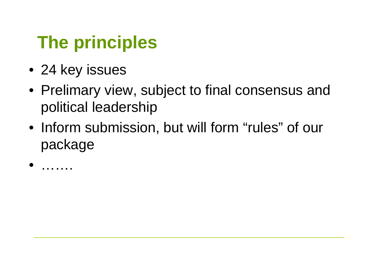### **The principles**

- 24 key issues
- Prelimary view, subject to final consensus and political leadership
- Inform submission, but will form "rules" of our package

•………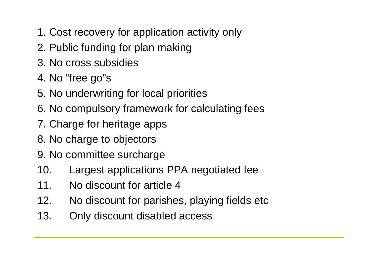- 1. Cost recovery for application activity only
- 2. Public funding for plan making
- 3. No cross subsidies
- 4. No "free go"s
- 5. No underwriting for local priorities
- 6. No compulsory framework for calculating fees
- 7. Charge for heritage apps
- 8. No charge to objectors
- 9. No committee surcharge
- 10. Largest applications PPA negotiated fee
- 11. No discount for article 4
- 12. No discount for parishes, playing fields etc
- 13. Only discount disabled access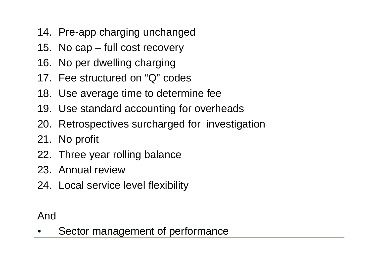- 14. Pre-app charging unchanged
- 15. No cap full cost recovery
- 16. No per dwelling charging
- 17. Fee structured on "Q" codes
- 18. Use average time to determine fee
- 19. Use standard accounting for overheads
- 20. Retrospectives surcharged for investigation
- 21. No profit
- 22. Three year rolling balance
- 23. Annual review
- 24. Local service level flexibility

And

•Sector management of performance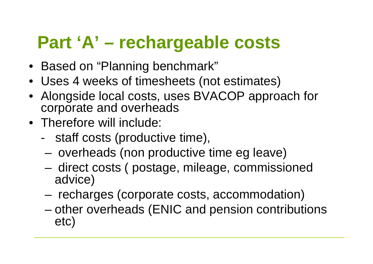### **Part 'A' – rechargeable costs**

- Based on "Planning benchmark"
- Uses 4 weeks of timesheets (not estimates)
- Alongside local costs, uses BVACOP approach for corporate and overheads
- Therefore will include:
	- staff costs (productive time),
	- –overheads (non productive time eg leave)
	- – direct costs ( postage, mileage, commissioned advice)
	- –recharges (corporate costs, accommodation)
	- – other overheads (ENIC and pension contributions etc)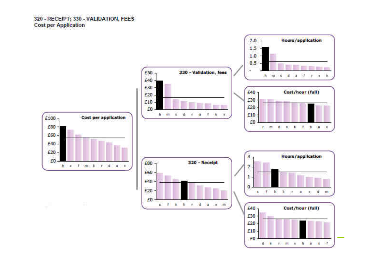#### 320 - RECEIPT: 330 - VALIDATION, FEES **Cost per Application**



dicide event a high or or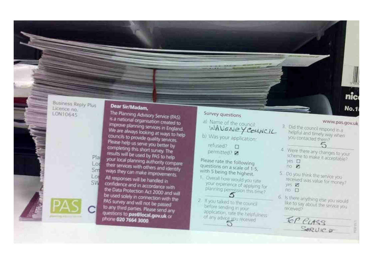#### **Business Reply Plus** Licence no. LON10645

Pla

Lod

Sm

L Ot

**SW** 

#### Dear Sir/Madam,

The Planning Advisory Service (PAS) is a national organisation created to improve planning services in England. We are always looking at ways to help councils to provide quality services Please help us serve you better by completing this short survey. The results will be used by PAS to help your local planning authority compare their services with others and identify ways they can make improvements. All responses will be handled in confidence and in accordance with the Data Protection Act 2000 and will be used solely in connection with the PAS survey and will not be passed to any third parties. Please send any questions to pas@local.gov.uk or phone 020 7664 3000

#### Survey questions

- a) Name of the council: WAVENEYCOUNCIL
- b) Was your application:

refused? D permitted? 2

Please rate the following questions on a scale of 1-5. with 5 being the highest.

- 1. Overall how would you rate your experience of applying for planning permission this time?
- 2. If you taked to the council before sending in your application, rate the helpfulness of any advice you received

#### www.pas.gov.uk

nic

**No.1** 

- 3. Did the council respond in a helpful and timely way when you contacted them? 5
- 4. Were there any changes to your scheme to make it acceptable? yes I  $110$   $P1$
- 5 Da you think the service youreceived was value for money? yes **27**  $90E$
- 6. Is there anything else you would like to say about the service you. received?

SORVICE

TOP CLASS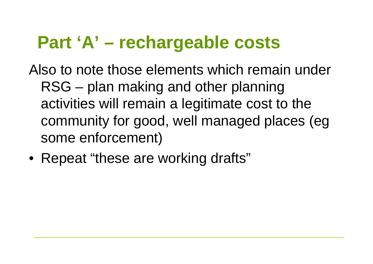### **Part 'A' – rechargeable costs**

Also to note those elements which remain under RSG – plan making and other planning activities will remain a legitimate cost to the community for good, well managed places (egsome enforcement)

• Repeat "these are working drafts"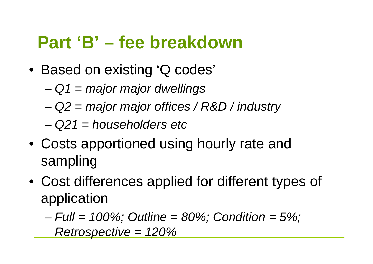### **Part 'B' – fee breakdown**

- Based on existing 'Q codes'
	- – $-Q1 =$  major major dwellings
	- –Q2 = major major offices / R&D / industry
	- – $-Q21 =$  householders etc
- Costs apportioned using hourly rate and sampling
- Cost differences applied for different types of application

– $-$  Full = 100%; Outline = 80%; Condition = 5%; Retrospective = 120%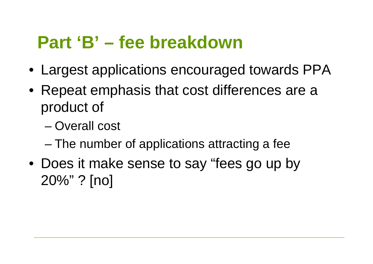### **Part 'B' – fee breakdown**

- Largest applications encouraged towards PPA
- Repeat emphasis that cost differences are a product of
	- –Overall cost
	- –The number of applications attracting a fee
- Does it make sense to say "fees go up by 20%" ? [no]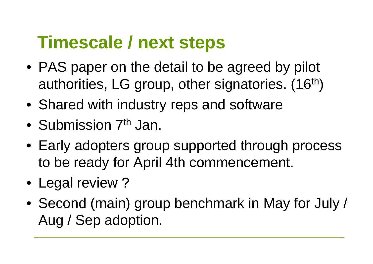### **Timescale / next steps**

- PAS paper on the detail to be agreed by pilot authorities, LG group, other signatories. (16<sup>th</sup>)
- Shared with industry reps and software
- $\bullet$ Submission 7<sup>th</sup> Jan.
- Early adopters group supported through process to be ready for April 4th commencement.
- Legal review ?
- Second (main) group benchmark in May for July / Aug / Sep adoption.